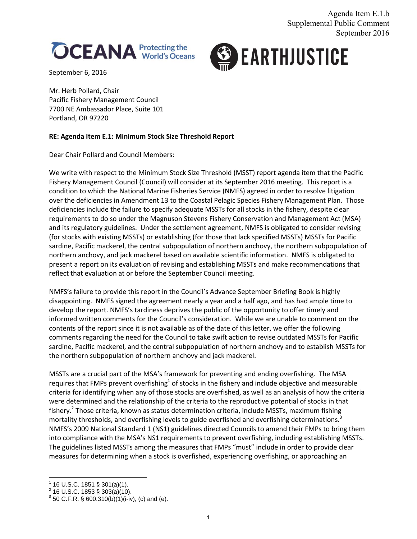



September 6, 2016

Mr. Herb Pollard, Chair Pacific Fishery Management Council 7700 NE Ambassador Place, Suite 101 Portland, OR 97220

## **RE: Agenda Item E.1: Minimum Stock Size Threshold Report**

Dear Chair Pollard and Council Members:

We write with respect to the Minimum Stock Size Threshold (MSST) report agenda item that the Pacific Fishery Management Council (Council) will consider at its September 2016 meeting. This report is a condition to which the National Marine Fisheries Service (NMFS) agreed in order to resolve litigation over the deficiencies in Amendment 13 to the Coastal Pelagic Species Fishery Management Plan. Those deficiencies include the failure to specify adequate MSSTs for all stocks in the fishery, despite clear requirements to do so under the Magnuson Stevens Fishery Conservation and Management Act (MSA) and its regulatory guidelines. Under the settlement agreement, NMFS is obligated to consider revising (for stocks with existing MSSTs) or establishing (for those that lack specified MSSTs) MSSTs for Pacific sardine, Pacific mackerel, the central subpopulation of northern anchovy, the northern subpopulation of northern anchovy, and jack mackerel based on available scientific information. NMFS is obligated to present a report on its evaluation of revising and establishing MSSTs and make recommendations that reflect that evaluation at or before the September Council meeting.

NMFS's failure to provide this report in the Council's Advance September Briefing Book is highly disappointing. NMFS signed the agreement nearly a year and a half ago, and has had ample time to develop the report. NMFS's tardiness deprives the public of the opportunity to offer timely and informed written comments for the Council's consideration. While we are unable to comment on the contents of the report since it is not available as of the date of this letter, we offer the following comments regarding the need for the Council to take swift action to revise outdated MSSTs for Pacific sardine, Pacific mackerel, and the central subpopulation of northern anchovy and to establish MSSTs for the northern subpopulation of northern anchovy and jack mackerel.

MSSTs are a crucial part of the MSA's framework for preventing and ending overfishing. The MSA requires that FMPs prevent overfishing<sup>1</sup> of stocks in the fishery and include objective and measurable criteria for identifying when any of those stocks are overfished, as well as an analysis of how the criteria were determined and the relationship of the criteria to the reproductive potential of stocks in that fishery.<sup>2</sup> Those criteria, known as status determination criteria, include MSSTs, maximum fishing mortality thresholds, and overfishing levels to guide overfished and overfishing determinations.<sup>3</sup> NMFS's 2009 National Standard 1 (NS1) guidelines directed Councils to amend their FMPs to bring them into compliance with the MSA's NS1 requirements to prevent overfishing, including establishing MSSTs. The guidelines listed MSSTs among the measures that FMPs "must" include in order to provide clear measures for determining when a stock is overfished, experiencing overfishing, or approaching an

<sup>&</sup>lt;sup>1</sup> 16 U.S.C. 1851 § 301(a)(1).<br><sup>2</sup> 16 U.S.C. 1853 § 303(a)(10).

 $3$  50 C.F.R. § 600.310(b)(1)(i-iv), (c) and (e).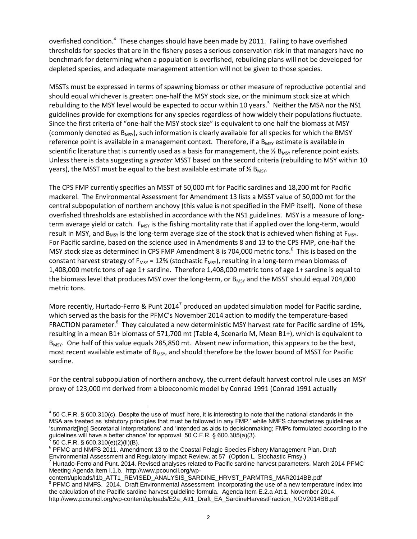overfished condition.<sup>4</sup> These changes should have been made by 2011. Failing to have overfished thresholds for species that are in the fishery poses a serious conservation risk in that managers have no benchmark for determining when a population is overfished, rebuilding plans will not be developed for depleted species, and adequate management attention will not be given to those species.

MSSTs must be expressed in terms of spawning biomass or other measure of reproductive potential and should equal whichever is greater: one-half the MSY stock size, or the minimum stock size at which rebuilding to the MSY level would be expected to occur within 10 years.<sup>5</sup> Neither the MSA nor the NS1 guidelines provide for exemptions for any species regardless of how widely their populations fluctuate. Since the first criteria of "one-half the MSY stock size" is equivalent to one half the biomass at MSY (commonly denoted as  $B_{MSY}$ ), such information is clearly available for all species for which the BMSY reference point is available in a management context. Therefore, if a  $B_{MSY}$  estimate is available in scientific literature that is currently used as a basis for management, the  $\frac{1}{2}$  B<sub>MSY</sub> reference point exists. Unless there is data suggesting a *greater* MSST based on the second criteria (rebuilding to MSY within 10 years), the MSST must be equal to the best available estimate of  $\frac{1}{2}$  B<sub>MSY</sub>.

The CPS FMP currently specifies an MSST of 50,000 mt for Pacific sardines and 18,200 mt for Pacific mackerel. The Environmental Assessment for Amendment 13 lists a MSST value of 50,000 mt for the central subpopulation of northern anchovy (this value is not specified in the FMP itself). None of these overfished thresholds are established in accordance with the NS1 guidelines. MSY is a measure of longterm average yield or catch. F<sub>MSY</sub> is the fishing mortality rate that if applied over the long-term, would result in MSY, and  $B_{MSY}$  is the long-term average size of the stock that is achieved when fishing at  $F_{MSY}$ . For Pacific sardine, based on the science used in Amendments 8 and 13 to the CPS FMP, one-half the MSY stock size as determined in CPS FMP Amendment 8 is 704,000 metric tons.<sup>6</sup> This is based on the constant harvest strategy of  $F_{MSY}$  = 12% (stochastic  $F_{MSY}$ ), resulting in a long-term mean biomass of 1,408,000 metric tons of age 1+ sardine. Therefore 1,408,000 metric tons of age 1+ sardine is equal to the biomass level that produces MSY over the long-term, or  $B_{MSV}$  and the MSST should equal 704,000 metric tons.

More recently, Hurtado-Ferro & Punt 2014<sup>7</sup> produced an updated simulation model for Pacific sardine, which served as the basis for the PFMC's November 2014 action to modify the temperature-based FRACTION parameter.<sup>8</sup> They calculated a new deterministic MSY harvest rate for Pacific sardine of 19%, resulting in a mean B1+ biomass of 571,700 mt (Table 4, Scenario M, Mean B1+), which is equivalent to  $B_{MSY}$ . One half of this value equals 285,850 mt. Absent new information, this appears to be the best, most recent available estimate of B<sub>MSY</sub>, and should therefore be the lower bound of MSST for Pacific sardine.

For the central subpopulation of northern anchovy, the current default harvest control rule uses an MSY proxy of 123,000 mt derived from a bioeconomic model by Conrad 1991 (Conrad 1991 actually

 $\overline{\phantom{a}}$ 

content/uploads/I1b\_ATT1\_REVISED\_ANALYSIS\_SARDINE\_HRVST\_PARMTRS\_MAR2014BB.pdf <sup>8</sup> PFMC and NMFS. 2014. Draft Environmental Assessment. Incorporating the use of a new temperature index into the calculation of the Pacific sardine harvest guideline formula. Agenda Item E.2.a Att.1, November 2014. http://www.pcouncil.org/wp-content/uploads/E2a\_Att1\_Draft\_EA\_SardineHarvestFraction\_NOV2014BB.pdf

 $4$  50 C.F.R. § 600.310(c). Despite the use of 'must' here, it is interesting to note that the national standards in the MSA are treated as "statutory principles that must be followed in any FMP," while NMFS characterizes guidelines as "summariz[ing] Secretarial interpretations" and "intended as aids to decisionmaking; FMPs formulated according to the guidelines will have a better chance' for approval. 50 C.F.R. § 600.305(a)(3).<br><sup>5</sup> 50 C E P .§ 600.310(o)(2)(ii)(P)

 <sup>50</sup> C.F.R. § 600.310(e)(2)(ii)(B).

<sup>&</sup>lt;sup>6</sup> PFMC and NMFS 2011. Amendment 13 to the Coastal Pelagic Species Fishery Management Plan. Draft Environmental Assessment and Regulatory Impact Review, at 57 (Option L, Stochastic Fmsy.)<br><sup>7</sup> Hurtado-Ferro and Punt. 2014. Revised analyses related to Pacific sardine harvest parameters. March 2014 PFMC

Meeting Agenda Item I.1.b. http://www.pcouncil.org/wp-